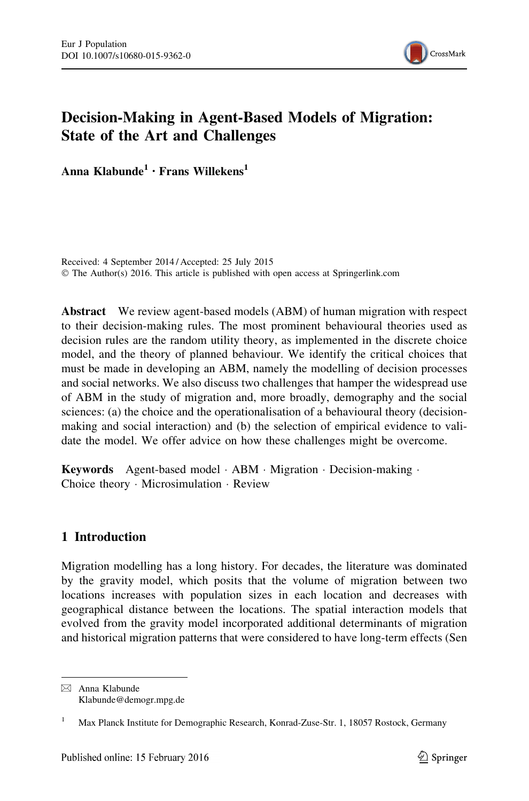

# Decision-Making in Agent-Based Models of Migration: State of the Art and Challenges

Anna Klabunde<sup>1</sup> • Frans Willekens<sup>1</sup>

Received: 4 September 2014 / Accepted: 25 July 2015 © The Author(s) 2016. This article is published with open access at Springerlink.com

Abstract We review agent-based models (ABM) of human migration with respect to their decision-making rules. The most prominent behavioural theories used as decision rules are the random utility theory, as implemented in the discrete choice model, and the theory of planned behaviour. We identify the critical choices that must be made in developing an ABM, namely the modelling of decision processes and social networks. We also discuss two challenges that hamper the widespread use of ABM in the study of migration and, more broadly, demography and the social sciences: (a) the choice and the operationalisation of a behavioural theory (decisionmaking and social interaction) and (b) the selection of empirical evidence to validate the model. We offer advice on how these challenges might be overcome.

Keywords Agent-based model · ABM · Migration · Decision-making · Choice theory - Microsimulation - Review

# 1 Introduction

Migration modelling has a long history. For decades, the literature was dominated by the gravity model, which posits that the volume of migration between two locations increases with population sizes in each location and decreases with geographical distance between the locations. The spatial interaction models that evolved from the gravity model incorporated additional determinants of migration and historical migration patterns that were considered to have long-term effects (Sen

 $\boxtimes$  Anna Klabunde Klabunde@demogr.mpg.de

<sup>&</sup>lt;sup>1</sup> Max Planck Institute for Demographic Research, Konrad-Zuse-Str. 1, 18057 Rostock, Germany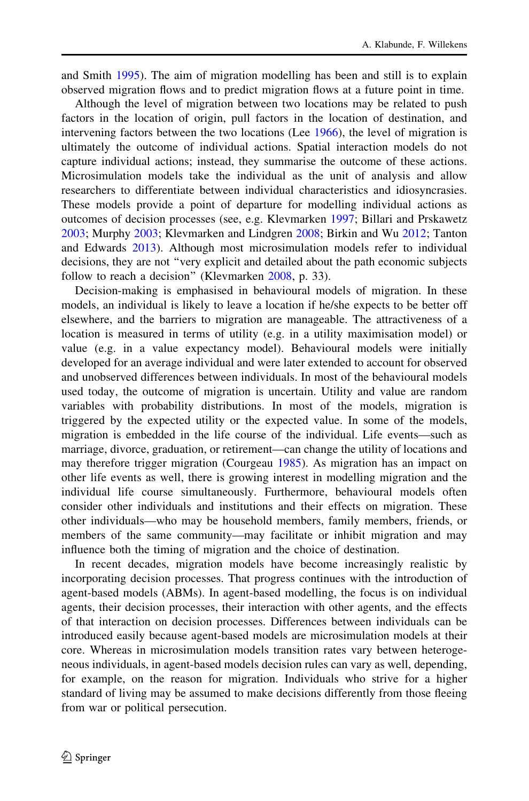and Smith [1995](#page-23-0)). The aim of migration modelling has been and still is to explain observed migration flows and to predict migration flows at a future point in time.

Although the level of migration between two locations may be related to push factors in the location of origin, pull factors in the location of destination, and intervening factors between the two locations (Lee [1966](#page-22-0)), the level of migration is ultimately the outcome of individual actions. Spatial interaction models do not capture individual actions; instead, they summarise the outcome of these actions. Microsimulation models take the individual as the unit of analysis and allow researchers to differentiate between individual characteristics and idiosyncrasies. These models provide a point of departure for modelling individual actions as outcomes of decision processes (see, e.g. Klevmarken [1997;](#page-22-0) Billari and Prskawetz [2003;](#page-21-0) Murphy [2003](#page-23-0); Klevmarken and Lindgren [2008](#page-22-0); Birkin and Wu [2012](#page-21-0); Tanton and Edwards [2013\)](#page-24-0). Although most microsimulation models refer to individual decisions, they are not ''very explicit and detailed about the path economic subjects follow to reach a decision" (Klevmarken [2008,](#page-22-0) p. 33).

Decision-making is emphasised in behavioural models of migration. In these models, an individual is likely to leave a location if he/she expects to be better off elsewhere, and the barriers to migration are manageable. The attractiveness of a location is measured in terms of utility (e.g. in a utility maximisation model) or value (e.g. in a value expectancy model). Behavioural models were initially developed for an average individual and were later extended to account for observed and unobserved differences between individuals. In most of the behavioural models used today, the outcome of migration is uncertain. Utility and value are random variables with probability distributions. In most of the models, migration is triggered by the expected utility or the expected value. In some of the models, migration is embedded in the life course of the individual. Life events—such as marriage, divorce, graduation, or retirement—can change the utility of locations and may therefore trigger migration (Courgeau [1985\)](#page-21-0). As migration has an impact on other life events as well, there is growing interest in modelling migration and the individual life course simultaneously. Furthermore, behavioural models often consider other individuals and institutions and their effects on migration. These other individuals—who may be household members, family members, friends, or members of the same community—may facilitate or inhibit migration and may influence both the timing of migration and the choice of destination.

In recent decades, migration models have become increasingly realistic by incorporating decision processes. That progress continues with the introduction of agent-based models (ABMs). In agent-based modelling, the focus is on individual agents, their decision processes, their interaction with other agents, and the effects of that interaction on decision processes. Differences between individuals can be introduced easily because agent-based models are microsimulation models at their core. Whereas in microsimulation models transition rates vary between heterogeneous individuals, in agent-based models decision rules can vary as well, depending, for example, on the reason for migration. Individuals who strive for a higher standard of living may be assumed to make decisions differently from those fleeing from war or political persecution.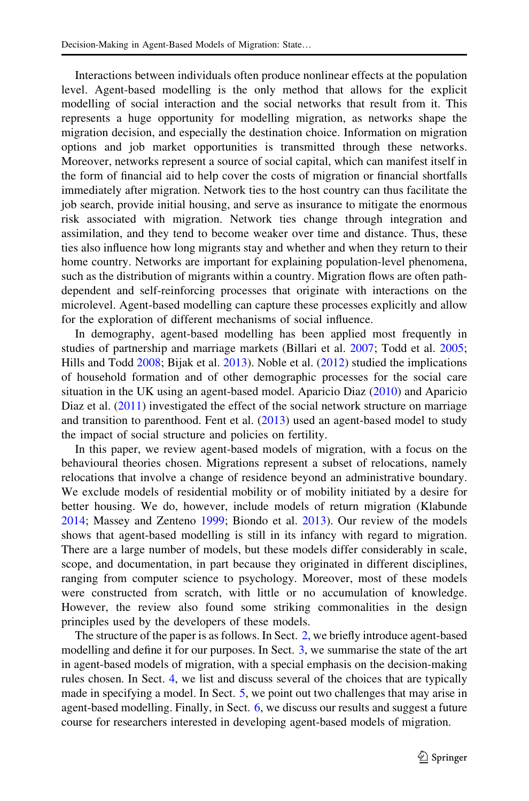Interactions between individuals often produce nonlinear effects at the population level. Agent-based modelling is the only method that allows for the explicit modelling of social interaction and the social networks that result from it. This represents a huge opportunity for modelling migration, as networks shape the migration decision, and especially the destination choice. Information on migration options and job market opportunities is transmitted through these networks. Moreover, networks represent a source of social capital, which can manifest itself in the form of financial aid to help cover the costs of migration or financial shortfalls immediately after migration. Network ties to the host country can thus facilitate the job search, provide initial housing, and serve as insurance to mitigate the enormous risk associated with migration. Network ties change through integration and assimilation, and they tend to become weaker over time and distance. Thus, these ties also influence how long migrants stay and whether and when they return to their home country. Networks are important for explaining population-level phenomena, such as the distribution of migrants within a country. Migration flows are often pathdependent and self-reinforcing processes that originate with interactions on the microlevel. Agent-based modelling can capture these processes explicitly and allow for the exploration of different mechanisms of social influence.

In demography, agent-based modelling has been applied most frequently in studies of partnership and marriage markets (Billari et al. [2007;](#page-21-0) Todd et al. [2005;](#page-24-0) Hills and Todd [2008;](#page-22-0) Bijak et al. [2013\)](#page-21-0). Noble et al. ([2012\)](#page-23-0) studied the implications of household formation and of other demographic processes for the social care situation in the UK using an agent-based model. Aparicio Diaz [\(2010](#page-20-0)) and Aparicio Diaz et al. [\(2011](#page-20-0)) investigated the effect of the social network structure on marriage and transition to parenthood. Fent et al. [\(2013](#page-21-0)) used an agent-based model to study the impact of social structure and policies on fertility.

In this paper, we review agent-based models of migration, with a focus on the behavioural theories chosen. Migrations represent a subset of relocations, namely relocations that involve a change of residence beyond an administrative boundary. We exclude models of residential mobility or of mobility initiated by a desire for better housing. We do, however, include models of return migration (Klabunde [2014;](#page-22-0) Massey and Zenteno [1999;](#page-23-0) Biondo et al. [2013](#page-21-0)). Our review of the models shows that agent-based modelling is still in its infancy with regard to migration. There are a large number of models, but these models differ considerably in scale, scope, and documentation, in part because they originated in different disciplines, ranging from computer science to psychology. Moreover, most of these models were constructed from scratch, with little or no accumulation of knowledge. However, the review also found some striking commonalities in the design principles used by the developers of these models.

The structure of the paper is as follows. In Sect. [2,](#page-3-0) we briefly introduce agent-based modelling and define it for our purposes. In Sect. [3](#page-4-0), we summarise the state of the art in agent-based models of migration, with a special emphasis on the decision-making rules chosen. In Sect. [4](#page-11-0), we list and discuss several of the choices that are typically made in specifying a model. In Sect. [5,](#page-14-0) we point out two challenges that may arise in agent-based modelling. Finally, in Sect. [6](#page-16-0), we discuss our results and suggest a future course for researchers interested in developing agent-based models of migration.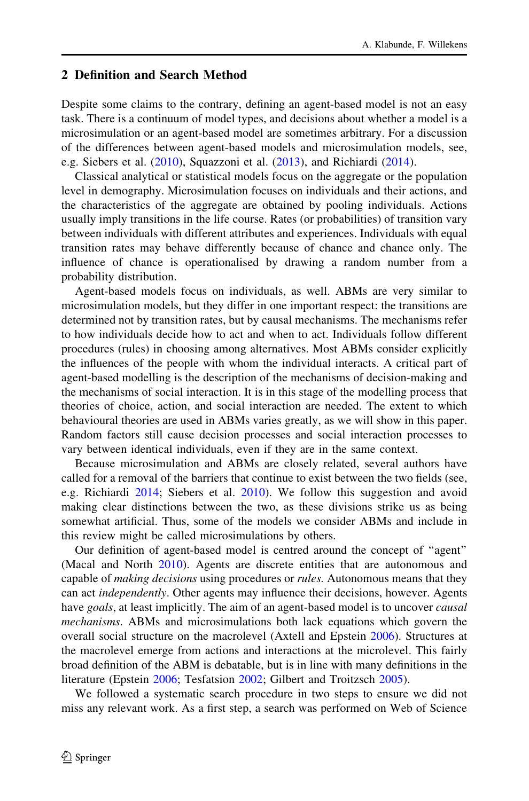## <span id="page-3-0"></span>2 Definition and Search Method

Despite some claims to the contrary, defining an agent-based model is not an easy task. There is a continuum of model types, and decisions about whether a model is a microsimulation or an agent-based model are sometimes arbitrary. For a discussion of the differences between agent-based models and microsimulation models, see, e.g. Siebers et al. ([2010\)](#page-23-0), Squazzoni et al. ([2013\)](#page-24-0), and Richiardi ([2014\)](#page-23-0).

Classical analytical or statistical models focus on the aggregate or the population level in demography. Microsimulation focuses on individuals and their actions, and the characteristics of the aggregate are obtained by pooling individuals. Actions usually imply transitions in the life course. Rates (or probabilities) of transition vary between individuals with different attributes and experiences. Individuals with equal transition rates may behave differently because of chance and chance only. The influence of chance is operationalised by drawing a random number from a probability distribution.

Agent-based models focus on individuals, as well. ABMs are very similar to microsimulation models, but they differ in one important respect: the transitions are determined not by transition rates, but by causal mechanisms. The mechanisms refer to how individuals decide how to act and when to act. Individuals follow different procedures (rules) in choosing among alternatives. Most ABMs consider explicitly the influences of the people with whom the individual interacts. A critical part of agent-based modelling is the description of the mechanisms of decision-making and the mechanisms of social interaction. It is in this stage of the modelling process that theories of choice, action, and social interaction are needed. The extent to which behavioural theories are used in ABMs varies greatly, as we will show in this paper. Random factors still cause decision processes and social interaction processes to vary between identical individuals, even if they are in the same context.

Because microsimulation and ABMs are closely related, several authors have called for a removal of the barriers that continue to exist between the two fields (see, e.g. Richiardi [2014](#page-23-0); Siebers et al. [2010](#page-23-0)). We follow this suggestion and avoid making clear distinctions between the two, as these divisions strike us as being somewhat artificial. Thus, some of the models we consider ABMs and include in this review might be called microsimulations by others.

Our definition of agent-based model is centred around the concept of ''agent'' (Macal and North [2010\)](#page-22-0). Agents are discrete entities that are autonomous and capable of *making decisions* using procedures or *rules*. Autonomous means that they can act independently. Other agents may influence their decisions, however. Agents have goals, at least implicitly. The aim of an agent-based model is to uncover *causal* mechanisms. ABMs and microsimulations both lack equations which govern the overall social structure on the macrolevel (Axtell and Epstein [2006\)](#page-20-0). Structures at the macrolevel emerge from actions and interactions at the microlevel. This fairly broad definition of the ABM is debatable, but is in line with many definitions in the literature (Epstein [2006](#page-21-0); Tesfatsion [2002](#page-24-0); Gilbert and Troitzsch [2005](#page-22-0)).

We followed a systematic search procedure in two steps to ensure we did not miss any relevant work. As a first step, a search was performed on Web of Science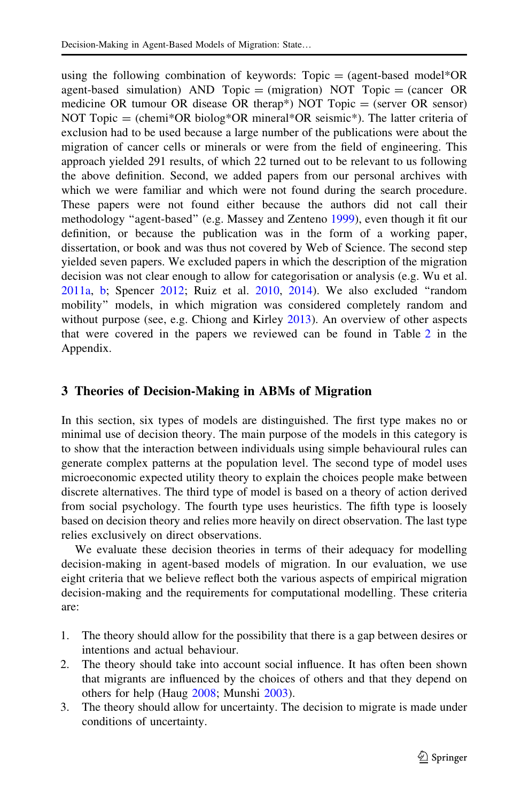<span id="page-4-0"></span>using the following combination of keywords:  $Topic = (agent-based model * OR)$ agent-based simulation) AND Topic  $=$  (migration) NOT Topic  $=$  (cancer OR medicine OR tumour OR disease OR therap\*) NOT Topic = (server OR sensor) NOT Topic = (chemi\*OR biolog\*OR mineral\*OR seismic\*). The latter criteria of exclusion had to be used because a large number of the publications were about the migration of cancer cells or minerals or were from the field of engineering. This approach yielded 291 results, of which 22 turned out to be relevant to us following the above definition. Second, we added papers from our personal archives with which we were familiar and which were not found during the search procedure. These papers were not found either because the authors did not call their methodology ''agent-based'' (e.g. Massey and Zenteno [1999\)](#page-23-0), even though it fit our definition, or because the publication was in the form of a working paper, dissertation, or book and was thus not covered by Web of Science. The second step yielded seven papers. We excluded papers in which the description of the migration decision was not clear enough to allow for categorisation or analysis (e.g. Wu et al. [2011a](#page-24-0), [b](#page-24-0); Spencer [2012](#page-24-0); Ruiz et al. [2010](#page-23-0), [2014\)](#page-23-0). We also excluded ''random mobility'' models, in which migration was considered completely random and without purpose (see, e.g. Chiong and Kirley [2013\)](#page-21-0). An overview of other aspects that were covered in the papers we reviewed can be found in Table [2](#page-18-0) in the Appendix.

# 3 Theories of Decision-Making in ABMs of Migration

In this section, six types of models are distinguished. The first type makes no or minimal use of decision theory. The main purpose of the models in this category is to show that the interaction between individuals using simple behavioural rules can generate complex patterns at the population level. The second type of model uses microeconomic expected utility theory to explain the choices people make between discrete alternatives. The third type of model is based on a theory of action derived from social psychology. The fourth type uses heuristics. The fifth type is loosely based on decision theory and relies more heavily on direct observation. The last type relies exclusively on direct observations.

We evaluate these decision theories in terms of their adequacy for modelling decision-making in agent-based models of migration. In our evaluation, we use eight criteria that we believe reflect both the various aspects of empirical migration decision-making and the requirements for computational modelling. These criteria are:

- 1. The theory should allow for the possibility that there is a gap between desires or intentions and actual behaviour.
- 2. The theory should take into account social influence. It has often been shown that migrants are influenced by the choices of others and that they depend on others for help (Haug [2008;](#page-22-0) Munshi [2003\)](#page-23-0).
- 3. The theory should allow for uncertainty. The decision to migrate is made under conditions of uncertainty.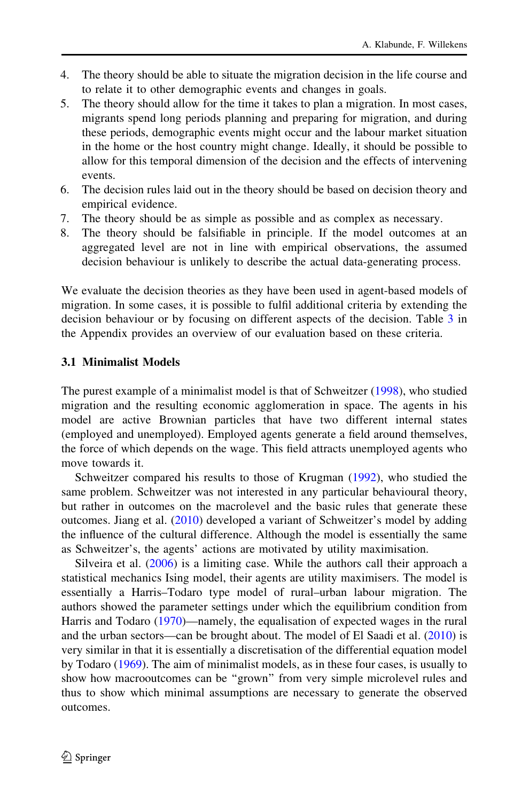- 4. The theory should be able to situate the migration decision in the life course and to relate it to other demographic events and changes in goals.
- 5. The theory should allow for the time it takes to plan a migration. In most cases, migrants spend long periods planning and preparing for migration, and during these periods, demographic events might occur and the labour market situation in the home or the host country might change. Ideally, it should be possible to allow for this temporal dimension of the decision and the effects of intervening events.
- 6. The decision rules laid out in the theory should be based on decision theory and empirical evidence.
- 7. The theory should be as simple as possible and as complex as necessary.
- 8. The theory should be falsifiable in principle. If the model outcomes at an aggregated level are not in line with empirical observations, the assumed decision behaviour is unlikely to describe the actual data-generating process.

We evaluate the decision theories as they have been used in agent-based models of migration. In some cases, it is possible to fulfil additional criteria by extending the decision behaviour or by focusing on different aspects of the decision. Table [3](#page-20-0) in the Appendix provides an overview of our evaluation based on these criteria.

### 3.1 Minimalist Models

The purest example of a minimalist model is that of Schweitzer [\(1998](#page-23-0)), who studied migration and the resulting economic agglomeration in space. The agents in his model are active Brownian particles that have two different internal states (employed and unemployed). Employed agents generate a field around themselves, the force of which depends on the wage. This field attracts unemployed agents who move towards it.

Schweitzer compared his results to those of Krugman ([1992\)](#page-22-0), who studied the same problem. Schweitzer was not interested in any particular behavioural theory, but rather in outcomes on the macrolevel and the basic rules that generate these outcomes. Jiang et al. [\(2010](#page-22-0)) developed a variant of Schweitzer's model by adding the influence of the cultural difference. Although the model is essentially the same as Schweitzer's, the agents' actions are motivated by utility maximisation.

Silveira et al. [\(2006](#page-24-0)) is a limiting case. While the authors call their approach a statistical mechanics Ising model, their agents are utility maximisers. The model is essentially a Harris–Todaro type model of rural–urban labour migration. The authors showed the parameter settings under which the equilibrium condition from Harris and Todaro [\(1970](#page-22-0))—namely, the equalisation of expected wages in the rural and the urban sectors—can be brought about. The model of El Saadi et al. ([2010\)](#page-21-0) is very similar in that it is essentially a discretisation of the differential equation model by Todaro ([1969\)](#page-24-0). The aim of minimalist models, as in these four cases, is usually to show how macrooutcomes can be ''grown'' from very simple microlevel rules and thus to show which minimal assumptions are necessary to generate the observed outcomes.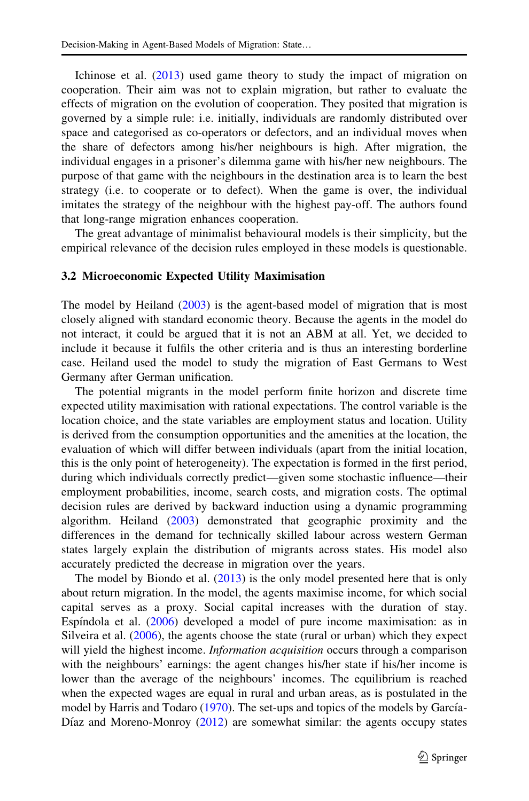Ichinose et al. ([2013\)](#page-22-0) used game theory to study the impact of migration on cooperation. Their aim was not to explain migration, but rather to evaluate the effects of migration on the evolution of cooperation. They posited that migration is governed by a simple rule: i.e. initially, individuals are randomly distributed over space and categorised as co-operators or defectors, and an individual moves when the share of defectors among his/her neighbours is high. After migration, the individual engages in a prisoner's dilemma game with his/her new neighbours. The purpose of that game with the neighbours in the destination area is to learn the best strategy (i.e. to cooperate or to defect). When the game is over, the individual imitates the strategy of the neighbour with the highest pay-off. The authors found that long-range migration enhances cooperation.

The great advantage of minimalist behavioural models is their simplicity, but the empirical relevance of the decision rules employed in these models is questionable.

#### 3.2 Microeconomic Expected Utility Maximisation

The model by Heiland [\(2003](#page-22-0)) is the agent-based model of migration that is most closely aligned with standard economic theory. Because the agents in the model do not interact, it could be argued that it is not an ABM at all. Yet, we decided to include it because it fulfils the other criteria and is thus an interesting borderline case. Heiland used the model to study the migration of East Germans to West Germany after German unification.

The potential migrants in the model perform finite horizon and discrete time expected utility maximisation with rational expectations. The control variable is the location choice, and the state variables are employment status and location. Utility is derived from the consumption opportunities and the amenities at the location, the evaluation of which will differ between individuals (apart from the initial location, this is the only point of heterogeneity). The expectation is formed in the first period, during which individuals correctly predict—given some stochastic influence—their employment probabilities, income, search costs, and migration costs. The optimal decision rules are derived by backward induction using a dynamic programming algorithm. Heiland ([2003\)](#page-22-0) demonstrated that geographic proximity and the differences in the demand for technically skilled labour across western German states largely explain the distribution of migrants across states. His model also accurately predicted the decrease in migration over the years.

The model by Biondo et al. ([2013\)](#page-21-0) is the only model presented here that is only about return migration. In the model, the agents maximise income, for which social capital serves as a proxy. Social capital increases with the duration of stay. Espíndola et al.  $(2006)$  $(2006)$  developed a model of pure income maximisation: as in Silveira et al. ([2006\)](#page-24-0), the agents choose the state (rural or urban) which they expect will yield the highest income. Information acquisition occurs through a comparison with the neighbours' earnings: the agent changes his/her state if his/her income is lower than the average of the neighbours' incomes. The equilibrium is reached when the expected wages are equal in rural and urban areas, as is postulated in the model by Harris and Todaro ([1970](#page-22-0)). The set-ups and topics of the models by García-Díaz and Moreno-Monroy  $(2012)$  $(2012)$  are somewhat similar: the agents occupy states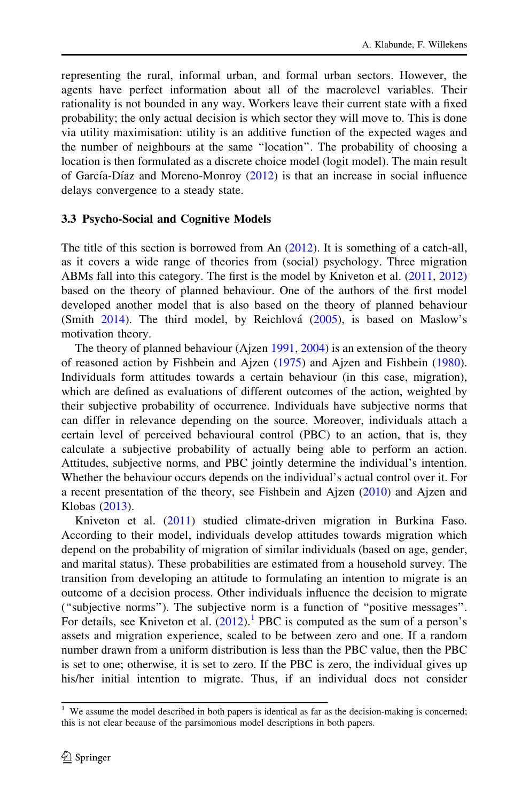representing the rural, informal urban, and formal urban sectors. However, the agents have perfect information about all of the macrolevel variables. Their rationality is not bounded in any way. Workers leave their current state with a fixed probability; the only actual decision is which sector they will move to. This is done via utility maximisation: utility is an additive function of the expected wages and the number of neighbours at the same ''location''. The probability of choosing a location is then formulated as a discrete choice model (logit model). The main result of García-Díaz and Moreno-Monroy  $(2012)$  $(2012)$  is that an increase in social influence delays convergence to a steady state.

#### 3.3 Psycho-Social and Cognitive Models

The title of this section is borrowed from An [\(2012](#page-20-0)). It is something of a catch-all, as it covers a wide range of theories from (social) psychology. Three migration ABMs fall into this category. The first is the model by Kniveton et al. ([2011,](#page-22-0) [2012\)](#page-22-0) based on the theory of planned behaviour. One of the authors of the first model developed another model that is also based on the theory of planned behaviour (Smith  $2014$ ). The third model, by Reichlová  $(2005)$  $(2005)$ , is based on Maslow's motivation theory.

The theory of planned behaviour (Ajzen [1991](#page-20-0), [2004](#page-20-0)) is an extension of the theory of reasoned action by Fishbein and Ajzen ([1975\)](#page-21-0) and Ajzen and Fishbein ([1980\)](#page-20-0). Individuals form attitudes towards a certain behaviour (in this case, migration), which are defined as evaluations of different outcomes of the action, weighted by their subjective probability of occurrence. Individuals have subjective norms that can differ in relevance depending on the source. Moreover, individuals attach a certain level of perceived behavioural control (PBC) to an action, that is, they calculate a subjective probability of actually being able to perform an action. Attitudes, subjective norms, and PBC jointly determine the individual's intention. Whether the behaviour occurs depends on the individual's actual control over it. For a recent presentation of the theory, see Fishbein and Ajzen ([2010\)](#page-21-0) and Ajzen and Klobas ([2013\)](#page-20-0).

Kniveton et al. [\(2011](#page-22-0)) studied climate-driven migration in Burkina Faso. According to their model, individuals develop attitudes towards migration which depend on the probability of migration of similar individuals (based on age, gender, and marital status). These probabilities are estimated from a household survey. The transition from developing an attitude to formulating an intention to migrate is an outcome of a decision process. Other individuals influence the decision to migrate (''subjective norms''). The subjective norm is a function of ''positive messages''. For details, see Kniveton et al.  $(2012)$  $(2012)$ .<sup>1</sup> PBC is computed as the sum of a person's assets and migration experience, scaled to be between zero and one. If a random number drawn from a uniform distribution is less than the PBC value, then the PBC is set to one; otherwise, it is set to zero. If the PBC is zero, the individual gives up his/her initial intention to migrate. Thus, if an individual does not consider

<sup>&</sup>lt;sup>1</sup> We assume the model described in both papers is identical as far as the decision-making is concerned; this is not clear because of the parsimonious model descriptions in both papers.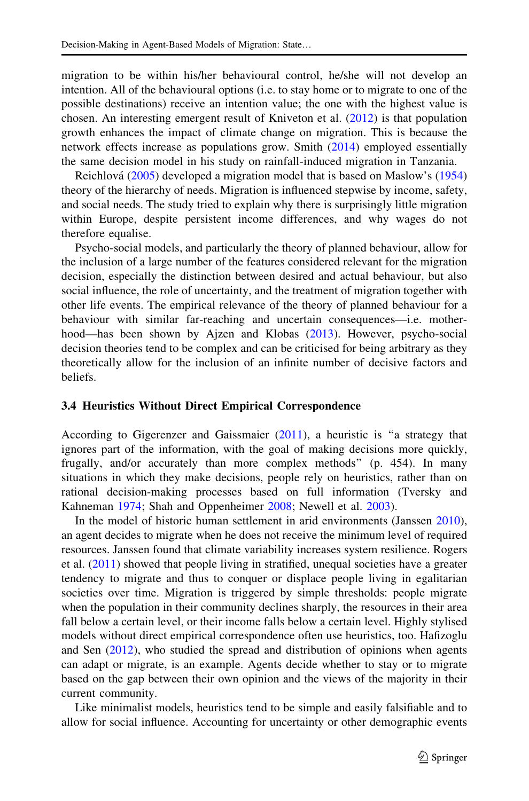migration to be within his/her behavioural control, he/she will not develop an intention. All of the behavioural options (i.e. to stay home or to migrate to one of the possible destinations) receive an intention value; the one with the highest value is chosen. An interesting emergent result of Kniveton et al. ([2012\)](#page-22-0) is that population growth enhances the impact of climate change on migration. This is because the network effects increase as populations grow. Smith ([2014](#page-24-0)) employed essentially the same decision model in his study on rainfall-induced migration in Tanzania.

Reichlova´ ([2005\)](#page-23-0) developed a migration model that is based on Maslow's [\(1954](#page-23-0)) theory of the hierarchy of needs. Migration is influenced stepwise by income, safety, and social needs. The study tried to explain why there is surprisingly little migration within Europe, despite persistent income differences, and why wages do not therefore equalise.

Psycho-social models, and particularly the theory of planned behaviour, allow for the inclusion of a large number of the features considered relevant for the migration decision, especially the distinction between desired and actual behaviour, but also social influence, the role of uncertainty, and the treatment of migration together with other life events. The empirical relevance of the theory of planned behaviour for a behaviour with similar far-reaching and uncertain consequences—i.e. motherhood—has been shown by Ajzen and Klobas [\(2013](#page-20-0)). However, psycho-social decision theories tend to be complex and can be criticised for being arbitrary as they theoretically allow for the inclusion of an infinite number of decisive factors and beliefs.

### 3.4 Heuristics Without Direct Empirical Correspondence

According to Gigerenzer and Gaissmaier  $(2011)$  $(2011)$ , a heuristic is "a strategy that ignores part of the information, with the goal of making decisions more quickly, frugally, and/or accurately than more complex methods'' (p. 454). In many situations in which they make decisions, people rely on heuristics, rather than on rational decision-making processes based on full information (Tversky and Kahneman [1974;](#page-24-0) Shah and Oppenheimer [2008;](#page-23-0) Newell et al. [2003\)](#page-23-0).

In the model of historic human settlement in arid environments (Janssen [2010\)](#page-22-0), an agent decides to migrate when he does not receive the minimum level of required resources. Janssen found that climate variability increases system resilience. Rogers et al.  $(2011)$  $(2011)$  showed that people living in stratified, unequal societies have a greater tendency to migrate and thus to conquer or displace people living in egalitarian societies over time. Migration is triggered by simple thresholds: people migrate when the population in their community declines sharply, the resources in their area fall below a certain level, or their income falls below a certain level. Highly stylised models without direct empirical correspondence often use heuristics, too. Hafizoglu and Sen [\(2012](#page-22-0)), who studied the spread and distribution of opinions when agents can adapt or migrate, is an example. Agents decide whether to stay or to migrate based on the gap between their own opinion and the views of the majority in their current community.

Like minimalist models, heuristics tend to be simple and easily falsifiable and to allow for social influence. Accounting for uncertainty or other demographic events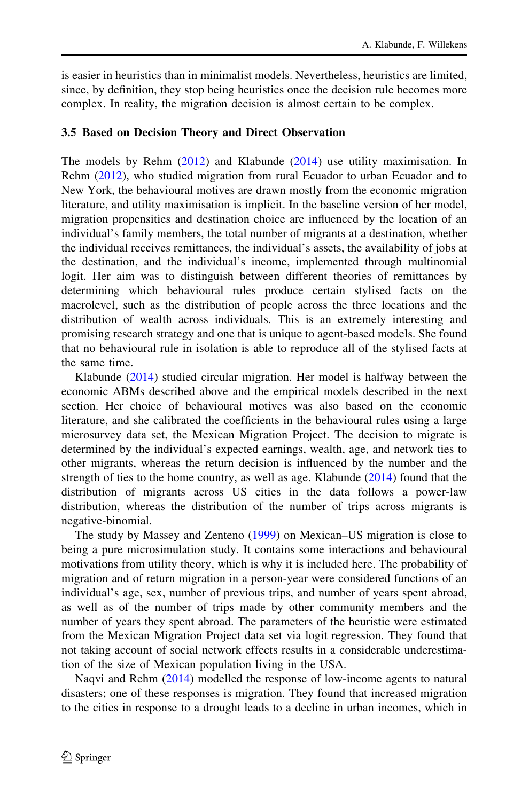is easier in heuristics than in minimalist models. Nevertheless, heuristics are limited, since, by definition, they stop being heuristics once the decision rule becomes more complex. In reality, the migration decision is almost certain to be complex.

#### 3.5 Based on Decision Theory and Direct Observation

The models by Rehm ([2012\)](#page-23-0) and Klabunde [\(2014](#page-22-0)) use utility maximisation. In Rehm ([2012\)](#page-23-0), who studied migration from rural Ecuador to urban Ecuador and to New York, the behavioural motives are drawn mostly from the economic migration literature, and utility maximisation is implicit. In the baseline version of her model, migration propensities and destination choice are influenced by the location of an individual's family members, the total number of migrants at a destination, whether the individual receives remittances, the individual's assets, the availability of jobs at the destination, and the individual's income, implemented through multinomial logit. Her aim was to distinguish between different theories of remittances by determining which behavioural rules produce certain stylised facts on the macrolevel, such as the distribution of people across the three locations and the distribution of wealth across individuals. This is an extremely interesting and promising research strategy and one that is unique to agent-based models. She found that no behavioural rule in isolation is able to reproduce all of the stylised facts at the same time.

Klabunde [\(2014](#page-22-0)) studied circular migration. Her model is halfway between the economic ABMs described above and the empirical models described in the next section. Her choice of behavioural motives was also based on the economic literature, and she calibrated the coefficients in the behavioural rules using a large microsurvey data set, the Mexican Migration Project. The decision to migrate is determined by the individual's expected earnings, wealth, age, and network ties to other migrants, whereas the return decision is influenced by the number and the strength of ties to the home country, as well as age. Klabunde [\(2014](#page-22-0)) found that the distribution of migrants across US cities in the data follows a power-law distribution, whereas the distribution of the number of trips across migrants is negative-binomial.

The study by Massey and Zenteno [\(1999](#page-23-0)) on Mexican–US migration is close to being a pure microsimulation study. It contains some interactions and behavioural motivations from utility theory, which is why it is included here. The probability of migration and of return migration in a person-year were considered functions of an individual's age, sex, number of previous trips, and number of years spent abroad, as well as of the number of trips made by other community members and the number of years they spent abroad. The parameters of the heuristic were estimated from the Mexican Migration Project data set via logit regression. They found that not taking account of social network effects results in a considerable underestimation of the size of Mexican population living in the USA.

Naqvi and Rehm ([2014\)](#page-23-0) modelled the response of low-income agents to natural disasters; one of these responses is migration. They found that increased migration to the cities in response to a drought leads to a decline in urban incomes, which in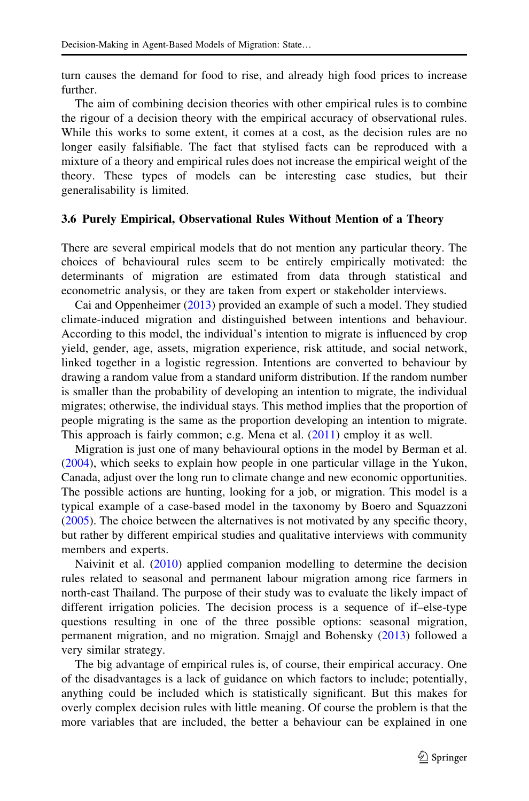turn causes the demand for food to rise, and already high food prices to increase further.

The aim of combining decision theories with other empirical rules is to combine the rigour of a decision theory with the empirical accuracy of observational rules. While this works to some extent, it comes at a cost, as the decision rules are no longer easily falsifiable. The fact that stylised facts can be reproduced with a mixture of a theory and empirical rules does not increase the empirical weight of the theory. These types of models can be interesting case studies, but their generalisability is limited.

#### 3.6 Purely Empirical, Observational Rules Without Mention of a Theory

There are several empirical models that do not mention any particular theory. The choices of behavioural rules seem to be entirely empirically motivated: the determinants of migration are estimated from data through statistical and econometric analysis, or they are taken from expert or stakeholder interviews.

Cai and Oppenheimer ([2013\)](#page-21-0) provided an example of such a model. They studied climate-induced migration and distinguished between intentions and behaviour. According to this model, the individual's intention to migrate is influenced by crop yield, gender, age, assets, migration experience, risk attitude, and social network, linked together in a logistic regression. Intentions are converted to behaviour by drawing a random value from a standard uniform distribution. If the random number is smaller than the probability of developing an intention to migrate, the individual migrates; otherwise, the individual stays. This method implies that the proportion of people migrating is the same as the proportion developing an intention to migrate. This approach is fairly common; e.g. Mena et al. [\(2011](#page-23-0)) employ it as well.

Migration is just one of many behavioural options in the model by Berman et al. [\(2004](#page-21-0)), which seeks to explain how people in one particular village in the Yukon, Canada, adjust over the long run to climate change and new economic opportunities. The possible actions are hunting, looking for a job, or migration. This model is a typical example of a case-based model in the taxonomy by Boero and Squazzoni [\(2005](#page-21-0)). The choice between the alternatives is not motivated by any specific theory, but rather by different empirical studies and qualitative interviews with community members and experts.

Naivinit et al. ([2010\)](#page-23-0) applied companion modelling to determine the decision rules related to seasonal and permanent labour migration among rice farmers in north-east Thailand. The purpose of their study was to evaluate the likely impact of different irrigation policies. The decision process is a sequence of if–else-type questions resulting in one of the three possible options: seasonal migration, permanent migration, and no migration. Smajgl and Bohensky [\(2013](#page-24-0)) followed a very similar strategy.

The big advantage of empirical rules is, of course, their empirical accuracy. One of the disadvantages is a lack of guidance on which factors to include; potentially, anything could be included which is statistically significant. But this makes for overly complex decision rules with little meaning. Of course the problem is that the more variables that are included, the better a behaviour can be explained in one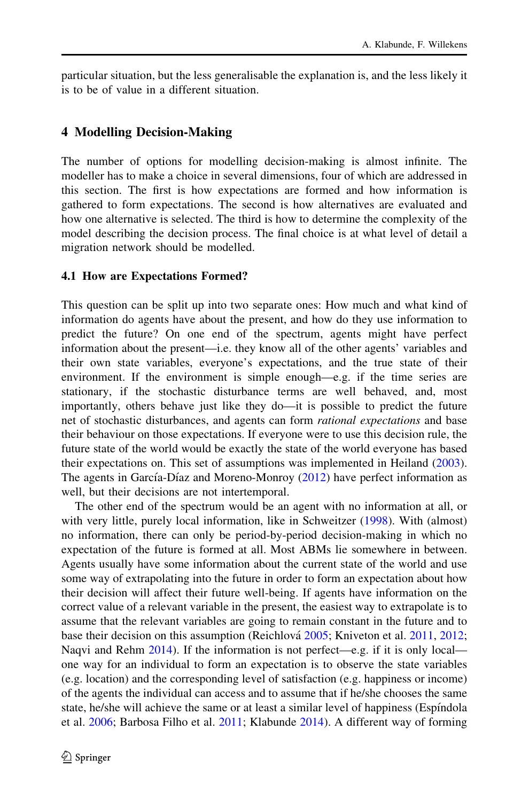<span id="page-11-0"></span>particular situation, but the less generalisable the explanation is, and the less likely it is to be of value in a different situation.

### 4 Modelling Decision-Making

The number of options for modelling decision-making is almost infinite. The modeller has to make a choice in several dimensions, four of which are addressed in this section. The first is how expectations are formed and how information is gathered to form expectations. The second is how alternatives are evaluated and how one alternative is selected. The third is how to determine the complexity of the model describing the decision process. The final choice is at what level of detail a migration network should be modelled.

#### 4.1 How are Expectations Formed?

This question can be split up into two separate ones: How much and what kind of information do agents have about the present, and how do they use information to predict the future? On one end of the spectrum, agents might have perfect information about the present—i.e. they know all of the other agents' variables and their own state variables, everyone's expectations, and the true state of their environment. If the environment is simple enough—e.g. if the time series are stationary, if the stochastic disturbance terms are well behaved, and, most importantly, others behave just like they do—it is possible to predict the future net of stochastic disturbances, and agents can form *rational expectations* and base their behaviour on those expectations. If everyone were to use this decision rule, the future state of the world would be exactly the state of the world everyone has based their expectations on. This set of assumptions was implemented in Heiland ([2003\)](#page-22-0). The agents in García-Díaz and Moreno-Monroy  $(2012)$  $(2012)$  have perfect information as well, but their decisions are not intertemporal.

The other end of the spectrum would be an agent with no information at all, or with very little, purely local information, like in Schweitzer ([1998\)](#page-23-0). With (almost) no information, there can only be period-by-period decision-making in which no expectation of the future is formed at all. Most ABMs lie somewhere in between. Agents usually have some information about the current state of the world and use some way of extrapolating into the future in order to form an expectation about how their decision will affect their future well-being. If agents have information on the correct value of a relevant variable in the present, the easiest way to extrapolate is to assume that the relevant variables are going to remain constant in the future and to base their decision on this assumption (Reichlová [2005;](#page-23-0) Kniveton et al. [2011](#page-22-0), [2012;](#page-22-0) Naqvi and Rehm [2014](#page-23-0)). If the information is not perfect—e.g. if it is only local one way for an individual to form an expectation is to observe the state variables (e.g. location) and the corresponding level of satisfaction (e.g. happiness or income) of the agents the individual can access and to assume that if he/she chooses the same state, he/she will achieve the same or at least a similar level of happiness (Espindola et al. [2006;](#page-21-0) Barbosa Filho et al. [2011;](#page-21-0) Klabunde [2014](#page-22-0)). A different way of forming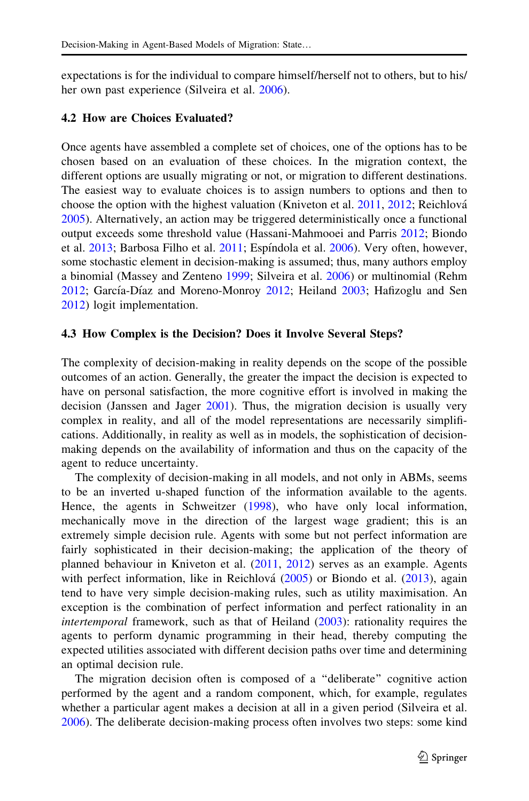expectations is for the individual to compare himself/herself not to others, but to his/ her own past experience (Silveira et al. [2006](#page-24-0)).

### 4.2 How are Choices Evaluated?

Once agents have assembled a complete set of choices, one of the options has to be chosen based on an evaluation of these choices. In the migration context, the different options are usually migrating or not, or migration to different destinations. The easiest way to evaluate choices is to assign numbers to options and then to choose the option with the highest valuation (Kniveton et al. [2011](#page-22-0), [2012](#page-22-0); Reichlová [2005\)](#page-23-0). Alternatively, an action may be triggered deterministically once a functional output exceeds some threshold value (Hassani-Mahmooei and Parris [2012;](#page-22-0) Biondo et al. [2013;](#page-21-0) Barbosa Filho et al. [2011](#page-21-0); Espíndola et al. [2006\)](#page-21-0). Very often, however, some stochastic element in decision-making is assumed; thus, many authors employ a binomial (Massey and Zenteno [1999;](#page-23-0) Silveira et al. [2006](#page-24-0)) or multinomial (Rehm [2012;](#page-23-0) García-Díaz and Moreno-Monroy [2012](#page-21-0); Heiland [2003](#page-22-0); Hafizoglu and Sen [2012\)](#page-22-0) logit implementation.

### 4.3 How Complex is the Decision? Does it Involve Several Steps?

The complexity of decision-making in reality depends on the scope of the possible outcomes of an action. Generally, the greater the impact the decision is expected to have on personal satisfaction, the more cognitive effort is involved in making the decision (Janssen and Jager [2001](#page-22-0)). Thus, the migration decision is usually very complex in reality, and all of the model representations are necessarily simplifications. Additionally, in reality as well as in models, the sophistication of decisionmaking depends on the availability of information and thus on the capacity of the agent to reduce uncertainty.

The complexity of decision-making in all models, and not only in ABMs, seems to be an inverted u-shaped function of the information available to the agents. Hence, the agents in Schweitzer ([1998\)](#page-23-0), who have only local information, mechanically move in the direction of the largest wage gradient; this is an extremely simple decision rule. Agents with some but not perfect information are fairly sophisticated in their decision-making; the application of the theory of planned behaviour in Kniveton et al. ([2011,](#page-22-0) [2012\)](#page-22-0) serves as an example. Agents with perfect information, like in Reichlová  $(2005)$  $(2005)$  or Biondo et al.  $(2013)$  $(2013)$ , again tend to have very simple decision-making rules, such as utility maximisation. An exception is the combination of perfect information and perfect rationality in an intertemporal framework, such as that of Heiland  $(2003)$  $(2003)$ : rationality requires the agents to perform dynamic programming in their head, thereby computing the expected utilities associated with different decision paths over time and determining an optimal decision rule.

The migration decision often is composed of a ''deliberate'' cognitive action performed by the agent and a random component, which, for example, regulates whether a particular agent makes a decision at all in a given period (Silveira et al. [2006\)](#page-24-0). The deliberate decision-making process often involves two steps: some kind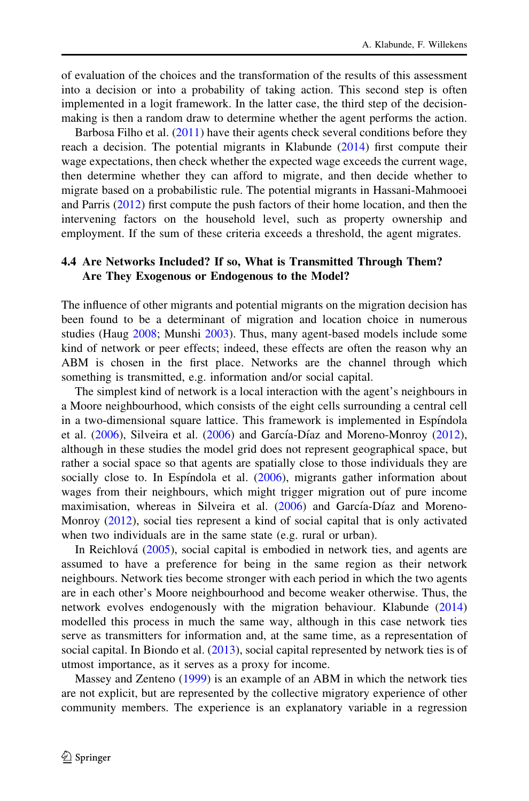of evaluation of the choices and the transformation of the results of this assessment into a decision or into a probability of taking action. This second step is often implemented in a logit framework. In the latter case, the third step of the decisionmaking is then a random draw to determine whether the agent performs the action.

Barbosa Filho et al. [\(2011](#page-21-0)) have their agents check several conditions before they reach a decision. The potential migrants in Klabunde ([2014\)](#page-22-0) first compute their wage expectations, then check whether the expected wage exceeds the current wage, then determine whether they can afford to migrate, and then decide whether to migrate based on a probabilistic rule. The potential migrants in Hassani-Mahmooei and Parris [\(2012](#page-22-0)) first compute the push factors of their home location, and then the intervening factors on the household level, such as property ownership and employment. If the sum of these criteria exceeds a threshold, the agent migrates.

## 4.4 Are Networks Included? If so, What is Transmitted Through Them? Are They Exogenous or Endogenous to the Model?

The influence of other migrants and potential migrants on the migration decision has been found to be a determinant of migration and location choice in numerous studies (Haug [2008](#page-22-0); Munshi [2003](#page-23-0)). Thus, many agent-based models include some kind of network or peer effects; indeed, these effects are often the reason why an ABM is chosen in the first place. Networks are the channel through which something is transmitted, e.g. information and/or social capital.

The simplest kind of network is a local interaction with the agent's neighbours in a Moore neighbourhood, which consists of the eight cells surrounding a central cell in a two-dimensional square lattice. This framework is implemented in Espindola et al.  $(2006)$  $(2006)$ , Silveira et al.  $(2006)$  $(2006)$  and García-Díaz and Moreno-Monroy  $(2012)$  $(2012)$ , although in these studies the model grid does not represent geographical space, but rather a social space so that agents are spatially close to those individuals they are socially close to. In Espíndola et al.  $(2006)$  $(2006)$ , migrants gather information about wages from their neighbours, which might trigger migration out of pure income maximisation, whereas in Silveira et al. [\(2006](#page-24-0)) and García-Díaz and Moreno-Monroy ([2012\)](#page-21-0), social ties represent a kind of social capital that is only activated when two individuals are in the same state (e.g. rural or urban).

In Reichlová  $(2005)$  $(2005)$ , social capital is embodied in network ties, and agents are assumed to have a preference for being in the same region as their network neighbours. Network ties become stronger with each period in which the two agents are in each other's Moore neighbourhood and become weaker otherwise. Thus, the network evolves endogenously with the migration behaviour. Klabunde [\(2014](#page-22-0)) modelled this process in much the same way, although in this case network ties serve as transmitters for information and, at the same time, as a representation of social capital. In Biondo et al. ([2013\)](#page-21-0), social capital represented by network ties is of utmost importance, as it serves as a proxy for income.

Massey and Zenteno ([1999\)](#page-23-0) is an example of an ABM in which the network ties are not explicit, but are represented by the collective migratory experience of other community members. The experience is an explanatory variable in a regression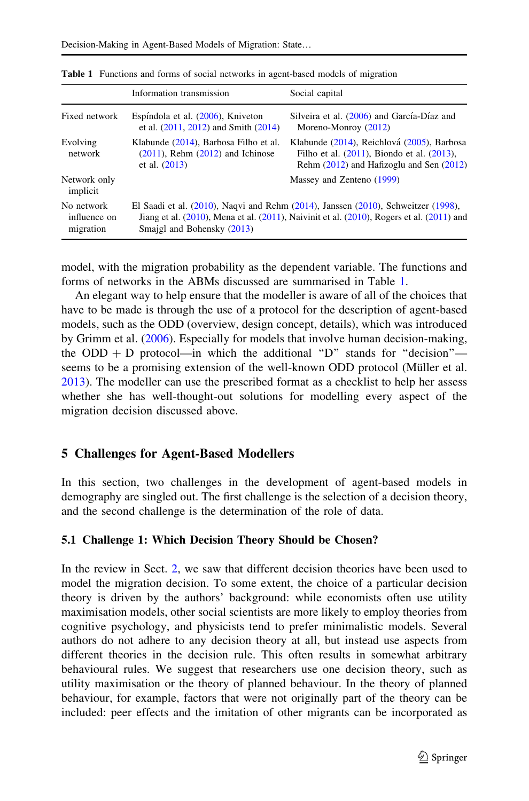|                                         | Information transmission                                                                                                                                                                                                 | Social capital                                                                                                                                 |  |  |  |
|-----------------------------------------|--------------------------------------------------------------------------------------------------------------------------------------------------------------------------------------------------------------------------|------------------------------------------------------------------------------------------------------------------------------------------------|--|--|--|
| Fixed network                           | Espíndola et al. (2006), Kniveton<br>et al. $(2011, 2012)$ and Smith $(2014)$                                                                                                                                            | Silveira et al. (2006) and García-Díaz and<br>Moreno-Monroy (2012)                                                                             |  |  |  |
| Evolving<br>network                     | Klabunde (2014), Barbosa Filho et al.<br>$(2011)$ , Rehm $(2012)$ and Ichinose<br>et al. $(2013)$                                                                                                                        | Klabunde (2014), Reichlová (2005), Barbosa<br>Filho et al. $(2011)$ , Biondo et al. $(2013)$ ,<br>Rehm $(2012)$ and Hafizoglu and Sen $(2012)$ |  |  |  |
| Network only<br>implicit                |                                                                                                                                                                                                                          | Massey and Zenteno (1999)                                                                                                                      |  |  |  |
| No network<br>influence on<br>migration | El Saadi et al. $(2010)$ , Naqvi and Rehm $(2014)$ , Janssen $(2010)$ , Schweitzer $(1998)$ ,<br>Jiang et al. (2010), Mena et al. (2011), Naivinit et al. (2010), Rogers et al. (2011) and<br>Smajgl and Bohensky (2013) |                                                                                                                                                |  |  |  |

<span id="page-14-0"></span>Table 1 Functions and forms of social networks in agent-based models of migration

model, with the migration probability as the dependent variable. The functions and forms of networks in the ABMs discussed are summarised in Table 1.

An elegant way to help ensure that the modeller is aware of all of the choices that have to be made is through the use of a protocol for the description of agent-based models, such as the ODD (overview, design concept, details), which was introduced by Grimm et al. ([2006\)](#page-22-0). Especially for models that involve human decision-making, the ODD + D protocol—in which the additional "D" stands for "decision" seems to be a promising extension of the well-known ODD protocol (Müller et al. [2013\)](#page-23-0). The modeller can use the prescribed format as a checklist to help her assess whether she has well-thought-out solutions for modelling every aspect of the migration decision discussed above.

### 5 Challenges for Agent-Based Modellers

In this section, two challenges in the development of agent-based models in demography are singled out. The first challenge is the selection of a decision theory, and the second challenge is the determination of the role of data.

### 5.1 Challenge 1: Which Decision Theory Should be Chosen?

In the review in Sect. [2,](#page-3-0) we saw that different decision theories have been used to model the migration decision. To some extent, the choice of a particular decision theory is driven by the authors' background: while economists often use utility maximisation models, other social scientists are more likely to employ theories from cognitive psychology, and physicists tend to prefer minimalistic models. Several authors do not adhere to any decision theory at all, but instead use aspects from different theories in the decision rule. This often results in somewhat arbitrary behavioural rules. We suggest that researchers use one decision theory, such as utility maximisation or the theory of planned behaviour. In the theory of planned behaviour, for example, factors that were not originally part of the theory can be included: peer effects and the imitation of other migrants can be incorporated as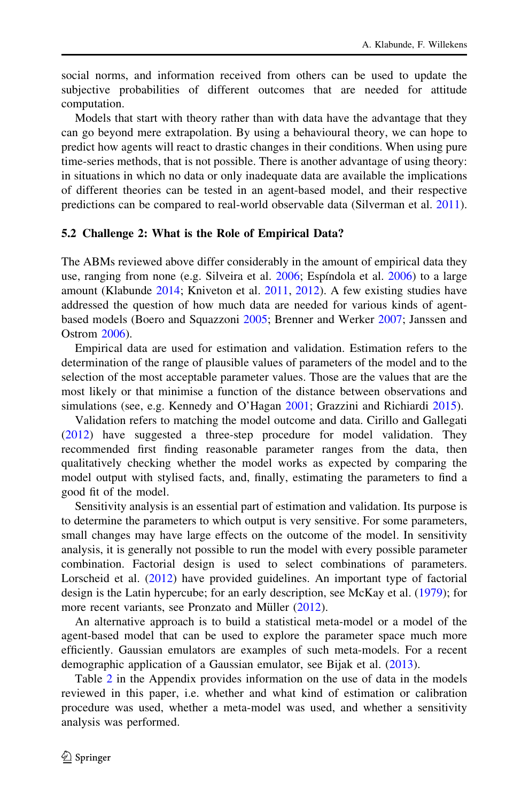social norms, and information received from others can be used to update the subjective probabilities of different outcomes that are needed for attitude computation.

Models that start with theory rather than with data have the advantage that they can go beyond mere extrapolation. By using a behavioural theory, we can hope to predict how agents will react to drastic changes in their conditions. When using pure time-series methods, that is not possible. There is another advantage of using theory: in situations in which no data or only inadequate data are available the implications of different theories can be tested in an agent-based model, and their respective predictions can be compared to real-world observable data (Silverman et al. [2011\)](#page-24-0).

#### 5.2 Challenge 2: What is the Role of Empirical Data?

The ABMs reviewed above differ considerably in the amount of empirical data they use, ranging from none (e.g. Silveira et al. [2006](#page-24-0); Espíndola et al. [2006\)](#page-21-0) to a large amount (Klabunde [2014;](#page-22-0) Kniveton et al. [2011,](#page-22-0) [2012\)](#page-22-0). A few existing studies have addressed the question of how much data are needed for various kinds of agentbased models (Boero and Squazzoni [2005](#page-21-0); Brenner and Werker [2007](#page-21-0); Janssen and Ostrom [2006](#page-22-0)).

Empirical data are used for estimation and validation. Estimation refers to the determination of the range of plausible values of parameters of the model and to the selection of the most acceptable parameter values. Those are the values that are the most likely or that minimise a function of the distance between observations and simulations (see, e.g. Kennedy and O'Hagan [2001](#page-22-0); Grazzini and Richiardi [2015\)](#page-22-0).

Validation refers to matching the model outcome and data. Cirillo and Gallegati [\(2012](#page-21-0)) have suggested a three-step procedure for model validation. They recommended first finding reasonable parameter ranges from the data, then qualitatively checking whether the model works as expected by comparing the model output with stylised facts, and, finally, estimating the parameters to find a good fit of the model.

Sensitivity analysis is an essential part of estimation and validation. Its purpose is to determine the parameters to which output is very sensitive. For some parameters, small changes may have large effects on the outcome of the model. In sensitivity analysis, it is generally not possible to run the model with every possible parameter combination. Factorial design is used to select combinations of parameters. Lorscheid et al. ([2012\)](#page-22-0) have provided guidelines. An important type of factorial design is the Latin hypercube; for an early description, see McKay et al. ([1979\)](#page-23-0); for more recent variants, see Pronzato and Müller ([2012\)](#page-23-0).

An alternative approach is to build a statistical meta-model or a model of the agent-based model that can be used to explore the parameter space much more efficiently. Gaussian emulators are examples of such meta-models. For a recent demographic application of a Gaussian emulator, see Bijak et al. ([2013\)](#page-21-0).

Table [2](#page-18-0) in the Appendix provides information on the use of data in the models reviewed in this paper, i.e. whether and what kind of estimation or calibration procedure was used, whether a meta-model was used, and whether a sensitivity analysis was performed.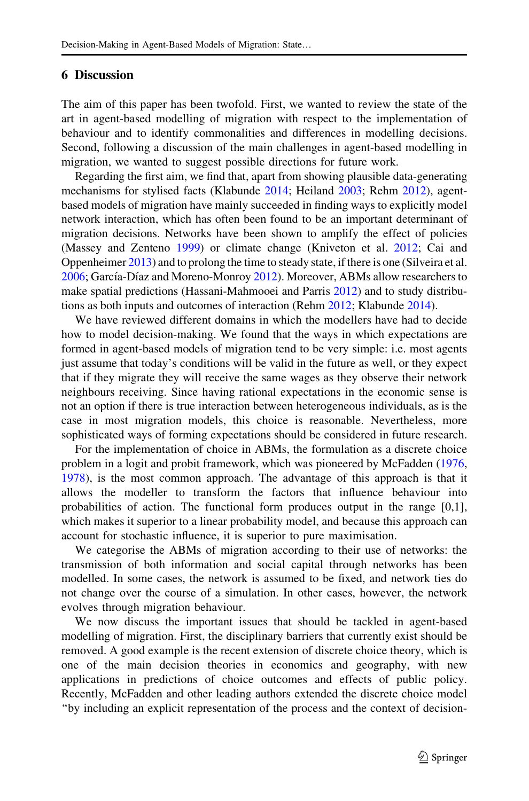## <span id="page-16-0"></span>6 Discussion

The aim of this paper has been twofold. First, we wanted to review the state of the art in agent-based modelling of migration with respect to the implementation of behaviour and to identify commonalities and differences in modelling decisions. Second, following a discussion of the main challenges in agent-based modelling in migration, we wanted to suggest possible directions for future work.

Regarding the first aim, we find that, apart from showing plausible data-generating mechanisms for stylised facts (Klabunde [2014;](#page-22-0) Heiland [2003;](#page-22-0) Rehm [2012](#page-23-0)), agentbased models of migration have mainly succeeded in finding ways to explicitly model network interaction, which has often been found to be an important determinant of migration decisions. Networks have been shown to amplify the effect of policies (Massey and Zenteno [1999](#page-23-0)) or climate change (Kniveton et al. [2012](#page-22-0); Cai and Oppenheimer [2013](#page-21-0)) and to prolong the time to steady state, if there is one (Silveira et al. [2006;](#page-24-0) García-Díaz and Moreno-Monroy [2012\)](#page-21-0). Moreover, ABMs allow researchers to make spatial predictions (Hassani-Mahmooei and Parris [2012](#page-22-0)) and to study distributions as both inputs and outcomes of interaction (Rehm [2012](#page-23-0); Klabunde [2014](#page-22-0)).

We have reviewed different domains in which the modellers have had to decide how to model decision-making. We found that the ways in which expectations are formed in agent-based models of migration tend to be very simple: i.e. most agents just assume that today's conditions will be valid in the future as well, or they expect that if they migrate they will receive the same wages as they observe their network neighbours receiving. Since having rational expectations in the economic sense is not an option if there is true interaction between heterogeneous individuals, as is the case in most migration models, this choice is reasonable. Nevertheless, more sophisticated ways of forming expectations should be considered in future research.

For the implementation of choice in ABMs, the formulation as a discrete choice problem in a logit and probit framework, which was pioneered by McFadden ([1976,](#page-23-0) [1978\)](#page-23-0), is the most common approach. The advantage of this approach is that it allows the modeller to transform the factors that influence behaviour into probabilities of action. The functional form produces output in the range [0,1], which makes it superior to a linear probability model, and because this approach can account for stochastic influence, it is superior to pure maximisation.

We categorise the ABMs of migration according to their use of networks: the transmission of both information and social capital through networks has been modelled. In some cases, the network is assumed to be fixed, and network ties do not change over the course of a simulation. In other cases, however, the network evolves through migration behaviour.

We now discuss the important issues that should be tackled in agent-based modelling of migration. First, the disciplinary barriers that currently exist should be removed. A good example is the recent extension of discrete choice theory, which is one of the main decision theories in economics and geography, with new applications in predictions of choice outcomes and effects of public policy. Recently, McFadden and other leading authors extended the discrete choice model ''by including an explicit representation of the process and the context of decision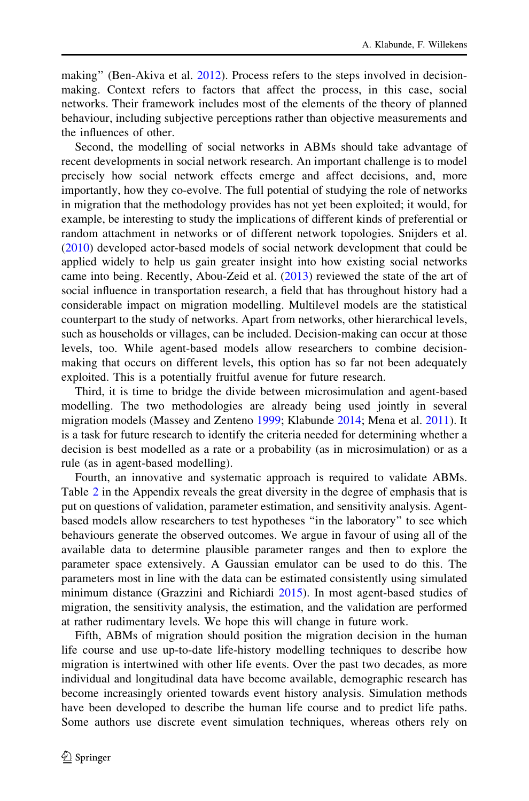making" (Ben-Akiva et al. [2012\)](#page-21-0). Process refers to the steps involved in decisionmaking. Context refers to factors that affect the process, in this case, social networks. Their framework includes most of the elements of the theory of planned behaviour, including subjective perceptions rather than objective measurements and the influences of other.

Second, the modelling of social networks in ABMs should take advantage of recent developments in social network research. An important challenge is to model precisely how social network effects emerge and affect decisions, and, more importantly, how they co-evolve. The full potential of studying the role of networks in migration that the methodology provides has not yet been exploited; it would, for example, be interesting to study the implications of different kinds of preferential or random attachment in networks or of different network topologies. Snijders et al. [\(2010](#page-24-0)) developed actor-based models of social network development that could be applied widely to help us gain greater insight into how existing social networks came into being. Recently, Abou-Zeid et al. ([2013\)](#page-20-0) reviewed the state of the art of social influence in transportation research, a field that has throughout history had a considerable impact on migration modelling. Multilevel models are the statistical counterpart to the study of networks. Apart from networks, other hierarchical levels, such as households or villages, can be included. Decision-making can occur at those levels, too. While agent-based models allow researchers to combine decisionmaking that occurs on different levels, this option has so far not been adequately exploited. This is a potentially fruitful avenue for future research.

Third, it is time to bridge the divide between microsimulation and agent-based modelling. The two methodologies are already being used jointly in several migration models (Massey and Zenteno [1999](#page-23-0); Klabunde [2014](#page-22-0); Mena et al. [2011\)](#page-23-0). It is a task for future research to identify the criteria needed for determining whether a decision is best modelled as a rate or a probability (as in microsimulation) or as a rule (as in agent-based modelling).

Fourth, an innovative and systematic approach is required to validate ABMs. Table [2](#page-18-0) in the Appendix reveals the great diversity in the degree of emphasis that is put on questions of validation, parameter estimation, and sensitivity analysis. Agentbased models allow researchers to test hypotheses ''in the laboratory'' to see which behaviours generate the observed outcomes. We argue in favour of using all of the available data to determine plausible parameter ranges and then to explore the parameter space extensively. A Gaussian emulator can be used to do this. The parameters most in line with the data can be estimated consistently using simulated minimum distance (Grazzini and Richiardi [2015\)](#page-22-0). In most agent-based studies of migration, the sensitivity analysis, the estimation, and the validation are performed at rather rudimentary levels. We hope this will change in future work.

Fifth, ABMs of migration should position the migration decision in the human life course and use up-to-date life-history modelling techniques to describe how migration is intertwined with other life events. Over the past two decades, as more individual and longitudinal data have become available, demographic research has become increasingly oriented towards event history analysis. Simulation methods have been developed to describe the human life course and to predict life paths. Some authors use discrete event simulation techniques, whereas others rely on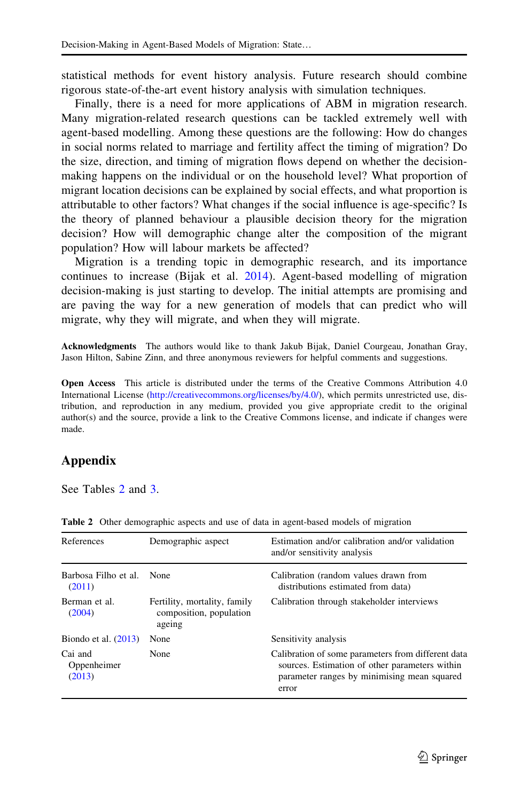<span id="page-18-0"></span>statistical methods for event history analysis. Future research should combine rigorous state-of-the-art event history analysis with simulation techniques.

Finally, there is a need for more applications of ABM in migration research. Many migration-related research questions can be tackled extremely well with agent-based modelling. Among these questions are the following: How do changes in social norms related to marriage and fertility affect the timing of migration? Do the size, direction, and timing of migration flows depend on whether the decisionmaking happens on the individual or on the household level? What proportion of migrant location decisions can be explained by social effects, and what proportion is attributable to other factors? What changes if the social influence is age-specific? Is the theory of planned behaviour a plausible decision theory for the migration decision? How will demographic change alter the composition of the migrant population? How will labour markets be affected?

Migration is a trending topic in demographic research, and its importance continues to increase (Bijak et al. [2014](#page-21-0)). Agent-based modelling of migration decision-making is just starting to develop. The initial attempts are promising and are paving the way for a new generation of models that can predict who will migrate, why they will migrate, and when they will migrate.

Acknowledgments The authors would like to thank Jakub Bijak, Daniel Courgeau, Jonathan Gray, Jason Hilton, Sabine Zinn, and three anonymous reviewers for helpful comments and suggestions.

Open Access This article is distributed under the terms of the Creative Commons Attribution 4.0 International License ([http://creativecommons.org/licenses/by/4.0/\)](http://creativecommons.org/licenses/by/4.0/), which permits unrestricted use, distribution, and reproduction in any medium, provided you give appropriate credit to the original author(s) and the source, provide a link to the Creative Commons license, and indicate if changes were made.

# Appendix

See Tables 2 and [3.](#page-20-0)

| References                                                                                   | Demographic aspect | Estimation and/or calibration and/or validation<br>and/or sensitivity analysis                                                                               |  |  |  |  |
|----------------------------------------------------------------------------------------------|--------------------|--------------------------------------------------------------------------------------------------------------------------------------------------------------|--|--|--|--|
| Barbosa Filho et al.<br>(2011)                                                               | None               | Calibration (random values drawn from<br>distributions estimated from data)                                                                                  |  |  |  |  |
| Fertility, mortality, family<br>Berman et al.<br>composition, population<br>(2004)<br>ageing |                    | Calibration through stakeholder interviews                                                                                                                   |  |  |  |  |
| Biondo et al. $(2013)$                                                                       | None               | Sensitivity analysis                                                                                                                                         |  |  |  |  |
| Cai and<br>None<br>Oppenheimer<br>(2013)                                                     |                    | Calibration of some parameters from different data<br>sources. Estimation of other parameters within<br>parameter ranges by minimising mean squared<br>error |  |  |  |  |

Table 2 Other demographic aspects and use of data in agent-based models of migration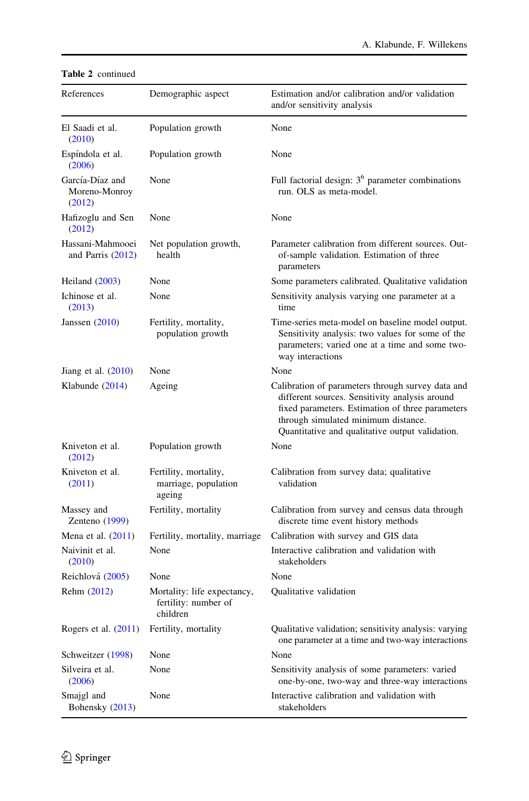| References                                 | Demographic aspect                                              | Estimation and/or calibration and/or validation<br>and/or sensitivity analysis                                                                                                                                                                    |  |  |  |  |
|--------------------------------------------|-----------------------------------------------------------------|---------------------------------------------------------------------------------------------------------------------------------------------------------------------------------------------------------------------------------------------------|--|--|--|--|
| El Saadi et al.<br>(2010)                  | Population growth                                               | None                                                                                                                                                                                                                                              |  |  |  |  |
| Espíndola et al.<br>(2006)                 | Population growth                                               | None                                                                                                                                                                                                                                              |  |  |  |  |
| García-Díaz and<br>Moreno-Monroy<br>(2012) | None                                                            | Full factorial design: $36$ parameter combinations<br>run. OLS as meta-model.                                                                                                                                                                     |  |  |  |  |
| Hafizoglu and Sen<br>(2012)                | None                                                            | None                                                                                                                                                                                                                                              |  |  |  |  |
| Hassani-Mahmooei<br>and Parris $(2012)$    | Net population growth,<br>health                                | Parameter calibration from different sources. Out-<br>of-sample validation. Estimation of three<br>parameters                                                                                                                                     |  |  |  |  |
| Heiland $(2003)$                           | None                                                            | Some parameters calibrated. Qualitative validation                                                                                                                                                                                                |  |  |  |  |
| Ichinose et al.<br>(2013)                  | None                                                            | Sensitivity analysis varying one parameter at a<br>time                                                                                                                                                                                           |  |  |  |  |
| Janssen $(2010)$                           | Fertility, mortality,<br>population growth                      | Time-series meta-model on baseline model output.<br>Sensitivity analysis: two values for some of the<br>parameters; varied one at a time and some two-<br>way interactions                                                                        |  |  |  |  |
| Jiang et al. $(2010)$                      | None                                                            | None                                                                                                                                                                                                                                              |  |  |  |  |
| Klabunde (2014)                            | Ageing                                                          | Calibration of parameters through survey data and<br>different sources. Sensitivity analysis around<br>fixed parameters. Estimation of three parameters<br>through simulated minimum distance.<br>Quantitative and qualitative output validation. |  |  |  |  |
| Kniveton et al.<br>(2012)                  | Population growth                                               | None                                                                                                                                                                                                                                              |  |  |  |  |
| Kniveton et al.<br>(2011)                  | Fertility, mortality,<br>marriage, population<br>ageing         | Calibration from survey data; qualitative<br>validation                                                                                                                                                                                           |  |  |  |  |
| Massey and<br>Zenteno $(1999)$             | Fertility, mortality                                            | Calibration from survey and census data through<br>discrete time event history methods                                                                                                                                                            |  |  |  |  |
| Mena et al. $(2011)$                       | Fertility, mortality, marriage                                  | Calibration with survey and GIS data                                                                                                                                                                                                              |  |  |  |  |
| Naivinit et al.<br>(2010)                  | None                                                            | Interactive calibration and validation with<br>stakeholders                                                                                                                                                                                       |  |  |  |  |
| Reichlová (2005)                           | None                                                            | None                                                                                                                                                                                                                                              |  |  |  |  |
| Rehm (2012)                                | Mortality: life expectancy,<br>fertility: number of<br>children | Qualitative validation                                                                                                                                                                                                                            |  |  |  |  |
| Rogers et al. $(2011)$                     | Fertility, mortality                                            | Qualitative validation; sensitivity analysis: varying<br>one parameter at a time and two-way interactions                                                                                                                                         |  |  |  |  |
| Schweitzer (1998)                          | None                                                            | None                                                                                                                                                                                                                                              |  |  |  |  |
| Silveira et al.<br>(2006)                  | None                                                            | Sensitivity analysis of some parameters: varied<br>one-by-one, two-way and three-way interactions                                                                                                                                                 |  |  |  |  |
| Smajgl and<br>Bohensky (2013)              | None                                                            | Interactive calibration and validation with<br>stakeholders                                                                                                                                                                                       |  |  |  |  |

### Table 2 continued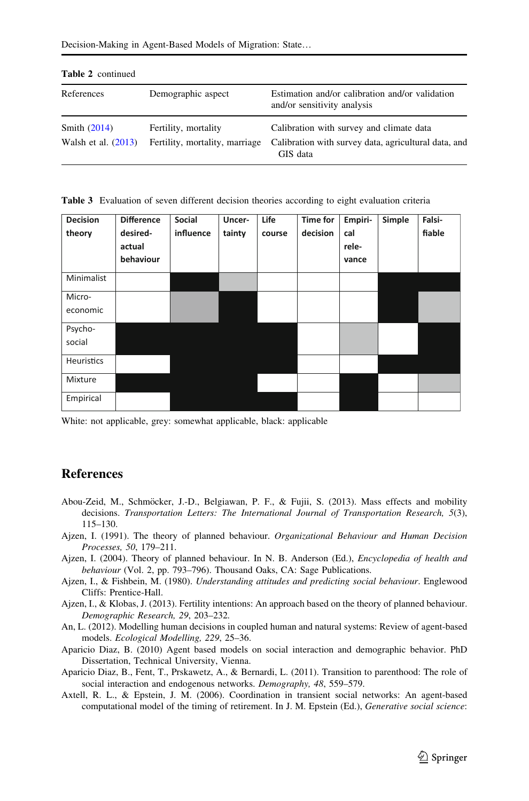| References                              | Demographic aspect                                     | Estimation and/or calibration and/or validation<br>and/or sensitivity analysis                               |  |  |  |
|-----------------------------------------|--------------------------------------------------------|--------------------------------------------------------------------------------------------------------------|--|--|--|
| Smith $(2014)$<br>Walsh et al. $(2013)$ | Fertility, mortality<br>Fertility, mortality, marriage | Calibration with survey and climate data<br>Calibration with survey data, agricultural data, and<br>GIS data |  |  |  |

#### <span id="page-20-0"></span>Table 2 continued

Table 3 Evaluation of seven different decision theories according to eight evaluation criteria

| <b>Decision</b><br>theory | <b>Difference</b><br>desired-<br>actual<br>behaviour | Social<br>influence | Uncer-<br>tainty | Life<br>course | <b>Time for</b><br>decision | Empiri-<br>cal<br>rele-<br>vance | Simple | Falsi-<br>fiable |
|---------------------------|------------------------------------------------------|---------------------|------------------|----------------|-----------------------------|----------------------------------|--------|------------------|
| Minimalist                |                                                      |                     |                  |                |                             |                                  |        |                  |
| Micro-<br>economic        |                                                      |                     |                  |                |                             |                                  |        |                  |
| Psycho-<br>social         |                                                      |                     |                  |                |                             |                                  |        |                  |
| <b>Heuristics</b>         |                                                      |                     |                  |                |                             |                                  |        |                  |
| Mixture                   |                                                      |                     |                  |                |                             |                                  |        |                  |
| Empirical                 |                                                      |                     |                  |                |                             |                                  |        |                  |

White: not applicable, grey: somewhat applicable, black: applicable

# References

- Abou-Zeid, M., Schmöcker, J.-D., Belgiawan, P. F., & Fujii, S. (2013). Mass effects and mobility decisions. Transportation Letters: The International Journal of Transportation Research, 5(3), 115–130.
- Ajzen, I. (1991). The theory of planned behaviour. Organizational Behaviour and Human Decision Processes, 50, 179–211.
- Ajzen, I. (2004). Theory of planned behaviour. In N. B. Anderson (Ed.), Encyclopedia of health and behaviour (Vol. 2, pp. 793–796). Thousand Oaks, CA: Sage Publications.
- Ajzen, I., & Fishbein, M. (1980). Understanding attitudes and predicting social behaviour. Englewood Cliffs: Prentice-Hall.
- Ajzen, I., & Klobas, J. (2013). Fertility intentions: An approach based on the theory of planned behaviour. Demographic Research, 29, 203–232.
- An, L. (2012). Modelling human decisions in coupled human and natural systems: Review of agent-based models. Ecological Modelling, 229, 25–36.
- Aparicio Diaz, B. (2010) Agent based models on social interaction and demographic behavior. PhD Dissertation, Technical University, Vienna.
- Aparicio Diaz, B., Fent, T., Prskawetz, A., & Bernardi, L. (2011). Transition to parenthood: The role of social interaction and endogenous networks. Demography, 48, 559–579.
- Axtell, R. L., & Epstein, J. M. (2006). Coordination in transient social networks: An agent-based computational model of the timing of retirement. In J. M. Epstein (Ed.), Generative social science: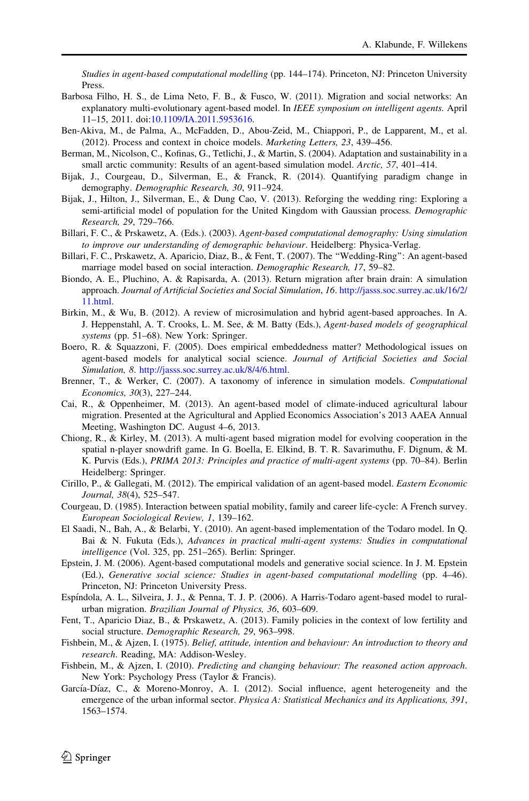<span id="page-21-0"></span>Studies in agent-based computational modelling (pp. 144–174). Princeton, NJ: Princeton University Press.

- Barbosa Filho, H. S., de Lima Neto, F. B., & Fusco, W. (2011). Migration and social networks: An explanatory multi-evolutionary agent-based model. In IEEE symposium on intelligent agents. April 11–15, 2011. doi:[10.1109/IA.2011.5953616.](http://dx.doi.org/10.1109/IA.2011.5953616)
- Ben-Akiva, M., de Palma, A., McFadden, D., Abou-Zeid, M., Chiappori, P., de Lapparent, M., et al. (2012). Process and context in choice models. Marketing Letters, 23, 439–456.
- Berman, M., Nicolson, C., Kofinas, G., Tetlichi, J., & Martin, S. (2004). Adaptation and sustainability in a small arctic community: Results of an agent-based simulation model. Arctic, 57, 401–414.
- Bijak, J., Courgeau, D., Silverman, E., & Franck, R. (2014). Quantifying paradigm change in demography. Demographic Research, 30, 911–924.
- Bijak, J., Hilton, J., Silverman, E., & Dung Cao, V. (2013). Reforging the wedding ring: Exploring a semi-artificial model of population for the United Kingdom with Gaussian process. Demographic Research, 29, 729–766.
- Billari, F. C., & Prskawetz, A. (Eds.). (2003). Agent-based computational demography: Using simulation to improve our understanding of demographic behaviour. Heidelberg: Physica-Verlag.
- Billari, F. C., Prskawetz, A. Aparicio, Diaz, B., & Fent, T. (2007). The ''Wedding-Ring'': An agent-based marriage model based on social interaction. Demographic Research, 17, 59–82.
- Biondo, A. E., Pluchino, A. & Rapisarda, A. (2013). Return migration after brain drain: A simulation approach. Journal of Artificial Societies and Social Simulation, 16. [http://jasss.soc.surrey.ac.uk/16/2/](http://jasss.soc.surrey.ac.uk/16/2/11.html) [11.html.](http://jasss.soc.surrey.ac.uk/16/2/11.html)
- Birkin, M., & Wu, B. (2012). A review of microsimulation and hybrid agent-based approaches. In A. J. Heppenstahl, A. T. Crooks, L. M. See, & M. Batty (Eds.), Agent-based models of geographical systems (pp. 51–68). New York: Springer.
- Boero, R. & Squazzoni, F. (2005). Does empirical embeddedness matter? Methodological issues on agent-based models for analytical social science. Journal of Artificial Societies and Social Simulation, 8. [http://jasss.soc.surrey.ac.uk/8/4/6.html.](http://jasss.soc.surrey.ac.uk/8/4/6.html)
- Brenner, T., & Werker, C. (2007). A taxonomy of inference in simulation models. Computational Economics, 30(3), 227–244.
- Cai, R., & Oppenheimer, M. (2013). An agent-based model of climate-induced agricultural labour migration. Presented at the Agricultural and Applied Economics Association's 2013 AAEA Annual Meeting, Washington DC. August 4–6, 2013.
- Chiong, R., & Kirley, M. (2013). A multi-agent based migration model for evolving cooperation in the spatial n-player snowdrift game. In G. Boella, E. Elkind, B. T. R. Savarimuthu, F. Dignum, & M. K. Purvis (Eds.), PRIMA 2013: Principles and practice of multi-agent systems (pp. 70–84). Berlin Heidelberg: Springer.
- Cirillo, P., & Gallegati, M. (2012). The empirical validation of an agent-based model. Eastern Economic Journal, 38(4), 525–547.
- Courgeau, D. (1985). Interaction between spatial mobility, family and career life-cycle: A French survey. European Sociological Review, 1, 139–162.
- El Saadi, N., Bah, A., & Belarbi, Y. (2010). An agent-based implementation of the Todaro model. In Q. Bai & N. Fukuta (Eds.), Advances in practical multi-agent systems: Studies in computational intelligence (Vol. 325, pp. 251–265). Berlin: Springer.
- Epstein, J. M. (2006). Agent-based computational models and generative social science. In J. M. Epstein (Ed.), Generative social science: Studies in agent-based computational modelling (pp. 4–46). Princeton, NJ: Princeton University Press.
- Espíndola, A. L., Silveira, J. J., & Penna, T. J. P. (2006). A Harris-Todaro agent-based model to ruralurban migration. Brazilian Journal of Physics, 36, 603–609.
- Fent, T., Aparicio Diaz, B., & Prskawetz, A. (2013). Family policies in the context of low fertility and social structure. Demographic Research, 29, 963–998.
- Fishbein, M., & Ajzen, I. (1975). Belief, attitude, intention and behaviour: An introduction to theory and research. Reading, MA: Addison-Wesley.
- Fishbein, M., & Ajzen, I. (2010). Predicting and changing behaviour: The reasoned action approach. New York: Psychology Press (Taylor & Francis).
- García-Díaz, C., & Moreno-Monroy, A. I. (2012). Social influence, agent heterogeneity and the emergence of the urban informal sector. Physica A: Statistical Mechanics and its Applications, 391, 1563–1574.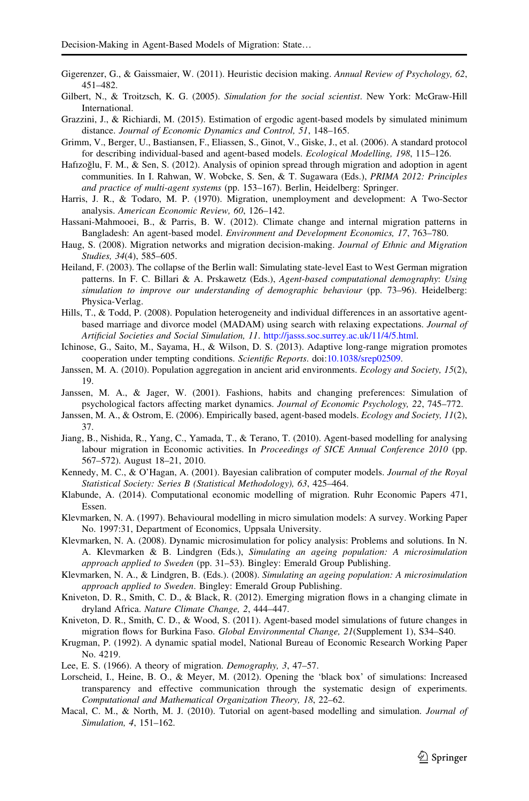- <span id="page-22-0"></span>Gigerenzer, G., & Gaissmaier, W. (2011). Heuristic decision making. Annual Review of Psychology, 62, 451–482.
- Gilbert, N., & Troitzsch, K. G. (2005). Simulation for the social scientist. New York: McGraw-Hill International.
- Grazzini, J., & Richiardi, M. (2015). Estimation of ergodic agent-based models by simulated minimum distance. Journal of Economic Dynamics and Control, 51, 148–165.
- Grimm, V., Berger, U., Bastiansen, F., Eliassen, S., Ginot, V., Giske, J., et al. (2006). A standard protocol for describing individual-based and agent-based models. Ecological Modelling, 198, 115–126.
- Hafizoğlu, F. M., & Sen, S. (2012). Analysis of opinion spread through migration and adoption in agent communities. In I. Rahwan, W. Wobcke, S. Sen, & T. Sugawara (Eds.), PRIMA 2012: Principles and practice of multi-agent systems (pp. 153–167). Berlin, Heidelberg: Springer.
- Harris, J. R., & Todaro, M. P. (1970). Migration, unemployment and development: A Two-Sector analysis. American Economic Review, 60, 126–142.
- Hassani-Mahmooei, B., & Parris, B. W. (2012). Climate change and internal migration patterns in Bangladesh: An agent-based model. Environment and Development Economics, 17, 763–780.
- Haug, S. (2008). Migration networks and migration decision-making. Journal of Ethnic and Migration Studies, 34(4), 585–605.
- Heiland, F. (2003). The collapse of the Berlin wall: Simulating state-level East to West German migration patterns. In F. C. Billari & A. Prskawetz (Eds.), Agent-based computational demography: Using simulation to improve our understanding of demographic behaviour (pp. 73–96). Heidelberg: Physica-Verlag.
- Hills, T., & Todd, P. (2008). Population heterogeneity and individual differences in an assortative agentbased marriage and divorce model (MADAM) using search with relaxing expectations. Journal of Artificial Societies and Social Simulation, 11. [http://jasss.soc.surrey.ac.uk/11/4/5.html.](http://jasss.soc.surrey.ac.uk/11/4/5.html)
- Ichinose, G., Saito, M., Sayama, H., & Wilson, D. S. (2013). Adaptive long-range migration promotes cooperation under tempting conditions. Scientific Reports. doi:[10.1038/srep02509.](http://dx.doi.org/10.1038/srep02509)
- Janssen, M. A. (2010). Population aggregation in ancient arid environments. Ecology and Society, 15(2), 19.
- Janssen, M. A., & Jager, W. (2001). Fashions, habits and changing preferences: Simulation of psychological factors affecting market dynamics. Journal of Economic Psychology, 22, 745–772.
- Janssen, M. A., & Ostrom, E. (2006). Empirically based, agent-based models. *Ecology and Society*, 11(2), 37.
- Jiang, B., Nishida, R., Yang, C., Yamada, T., & Terano, T. (2010). Agent-based modelling for analysing labour migration in Economic activities. In Proceedings of SICE Annual Conference 2010 (pp. 567–572). August 18–21, 2010.
- Kennedy, M. C., & O'Hagan, A. (2001). Bayesian calibration of computer models. Journal of the Royal Statistical Society: Series B (Statistical Methodology), 63, 425–464.
- Klabunde, A. (2014). Computational economic modelling of migration. Ruhr Economic Papers 471, Essen.
- Klevmarken, N. A. (1997). Behavioural modelling in micro simulation models: A survey. Working Paper No. 1997:31, Department of Economics, Uppsala University.
- Klevmarken, N. A. (2008). Dynamic microsimulation for policy analysis: Problems and solutions. In N. A. Klevmarken & B. Lindgren (Eds.), Simulating an ageing population: A microsimulation approach applied to Sweden (pp. 31–53). Bingley: Emerald Group Publishing.
- Klevmarken, N. A., & Lindgren, B. (Eds.). (2008). Simulating an ageing population: A microsimulation approach applied to Sweden. Bingley: Emerald Group Publishing.
- Kniveton, D. R., Smith, C. D., & Black, R. (2012). Emerging migration flows in a changing climate in dryland Africa. Nature Climate Change, 2, 444–447.
- Kniveton, D. R., Smith, C. D., & Wood, S. (2011). Agent-based model simulations of future changes in migration flows for Burkina Faso. Global Environmental Change, 21(Supplement 1), S34–S40.
- Krugman, P. (1992). A dynamic spatial model, National Bureau of Economic Research Working Paper No. 4219.
- Lee, E. S. (1966). A theory of migration. Demography, 3, 47–57.
- Lorscheid, I., Heine, B. O., & Meyer, M. (2012). Opening the 'black box' of simulations: Increased transparency and effective communication through the systematic design of experiments. Computational and Mathematical Organization Theory, 18, 22–62.
- Macal, C. M., & North, M. J. (2010). Tutorial on agent-based modelling and simulation. Journal of Simulation, 4, 151–162.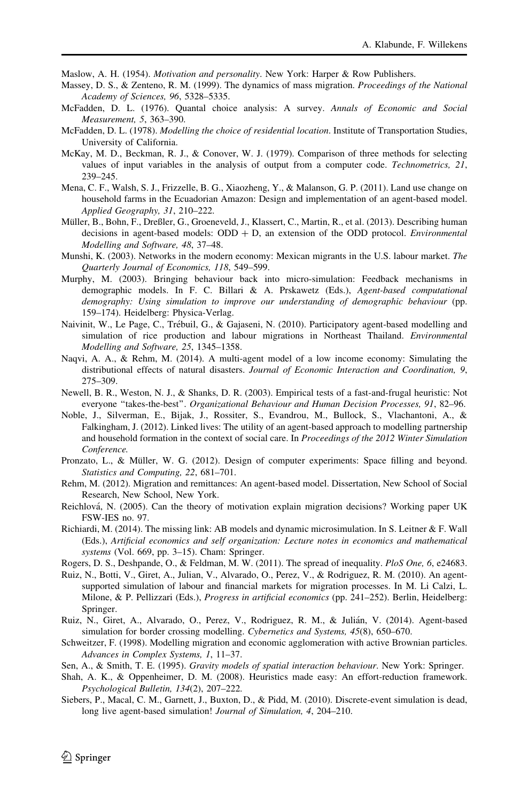<span id="page-23-0"></span>Maslow, A. H. (1954). Motivation and personality. New York: Harper & Row Publishers.

- Massey, D. S., & Zenteno, R. M. (1999). The dynamics of mass migration. Proceedings of the National Academy of Sciences, 96, 5328–5335.
- McFadden, D. L. (1976). Quantal choice analysis: A survey. Annals of Economic and Social Measurement, 5, 363–390.
- McFadden, D. L. (1978). Modelling the choice of residential location. Institute of Transportation Studies, University of California.
- McKay, M. D., Beckman, R. J., & Conover, W. J. (1979). Comparison of three methods for selecting values of input variables in the analysis of output from a computer code. Technometrics, 21, 239–245.
- Mena, C. F., Walsh, S. J., Frizzelle, B. G., Xiaozheng, Y., & Malanson, G. P. (2011). Land use change on household farms in the Ecuadorian Amazon: Design and implementation of an agent-based model. Applied Geography, 31, 210–222.
- Müller, B., Bohn, F., Dreßler, G., Groeneveld, J., Klassert, C., Martin, R., et al. (2013). Describing human decisions in agent-based models:  $ODD + D$ , an extension of the ODD protocol. *Environmental* Modelling and Software, 48, 37–48.
- Munshi, K. (2003). Networks in the modern economy: Mexican migrants in the U.S. labour market. The Quarterly Journal of Economics, 118, 549–599.
- Murphy, M. (2003). Bringing behaviour back into micro-simulation: Feedback mechanisms in demographic models. In F. C. Billari & A. Prskawetz (Eds.), Agent-based computational demography: Using simulation to improve our understanding of demographic behaviour (pp. 159–174). Heidelberg: Physica-Verlag.
- Naivinit, W., Le Page, C., Trébuil, G., & Gajaseni, N. (2010). Participatory agent-based modelling and simulation of rice production and labour migrations in Northeast Thailand. *Environmental* Modelling and Software, 25, 1345–1358.
- Naqvi, A. A., & Rehm, M. (2014). A multi-agent model of a low income economy: Simulating the distributional effects of natural disasters. Journal of Economic Interaction and Coordination, 9, 275–309.
- Newell, B. R., Weston, N. J., & Shanks, D. R. (2003). Empirical tests of a fast-and-frugal heuristic: Not everyone "takes-the-best". Organizational Behaviour and Human Decision Processes, 91, 82-96.
- Noble, J., Silverman, E., Bijak, J., Rossiter, S., Evandrou, M., Bullock, S., Vlachantoni, A., & Falkingham, J. (2012). Linked lives: The utility of an agent-based approach to modelling partnership and household formation in the context of social care. In Proceedings of the 2012 Winter Simulation Conference.
- Pronzato, L., & Müller, W. G. (2012). Design of computer experiments: Space filling and beyond. Statistics and Computing, 22, 681–701.
- Rehm, M. (2012). Migration and remittances: An agent-based model. Dissertation, New School of Social Research, New School, New York.
- Reichlova´, N. (2005). Can the theory of motivation explain migration decisions? Working paper UK FSW-IES no. 97.
- Richiardi, M. (2014). The missing link: AB models and dynamic microsimulation. In S. Leitner & F. Wall (Eds.), Artificial economics and self organization: Lecture notes in economics and mathematical systems (Vol. 669, pp. 3–15). Cham: Springer.
- Rogers, D. S., Deshpande, O., & Feldman, M. W. (2011). The spread of inequality. PloS One, 6, e24683.
- Ruiz, N., Botti, V., Giret, A., Julian, V., Alvarado, O., Perez, V., & Rodriguez, R. M. (2010). An agentsupported simulation of labour and financial markets for migration processes. In M. Li Calzi, L. Milone, & P. Pellizzari (Eds.), Progress in artificial economics (pp. 241–252). Berlin, Heidelberg: Springer.
- Ruiz, N., Giret, A., Alvarado, O., Perez, V., Rodriguez, R. M., & Julián, V. (2014). Agent-based simulation for border crossing modelling. Cybernetics and Systems, 45(8), 650–670.
- Schweitzer, F. (1998). Modelling migration and economic agglomeration with active Brownian particles. Advances in Complex Systems, 1, 11–37.
- Sen, A., & Smith, T. E. (1995). Gravity models of spatial interaction behaviour. New York: Springer.
- Shah, A. K., & Oppenheimer, D. M. (2008). Heuristics made easy: An effort-reduction framework. Psychological Bulletin, 134(2), 207–222.
- Siebers, P., Macal, C. M., Garnett, J., Buxton, D., & Pidd, M. (2010). Discrete-event simulation is dead, long live agent-based simulation! *Journal of Simulation*, 4, 204–210.